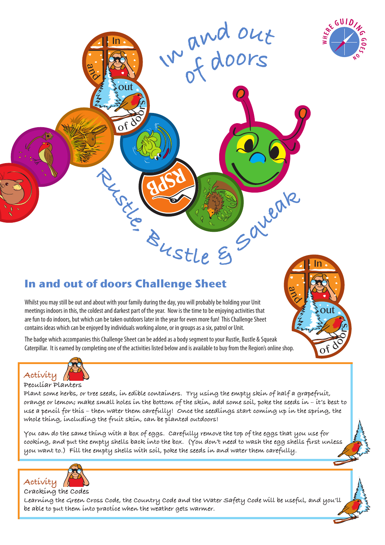

a  $\approx$  In

out

ے s

 $\mathbf{0}^{\mathsf{f}}$ 

# **In and out of doors Challenge Sheet**  $\frac{2}{3}$ <br>  $\frac{2}{3}$ <br>  $\frac{2}{3}$ <br>  $\frac{2}{3}$ <br>  $\frac{2}{3}$ <br>  $\frac{1}{3}$ <br>  $\frac{1}{3}$ <br>  $\frac{1}{3}$

Whilst you may still be out and about with your family during the day, you will probably be holding your Unit meetings indoors in this, the coldest and darkest part of the year. Now is the time to be enjoying activities that are fun to do indoors, but which can be taken outdoors later in the year for even more fun! This Challenge Sheet contains ideas which can be enjoyed by individuals working alone, or in groups as a six, patrol or Unit.

 $\sqrt{2}$ 

 $\overline{\phantom{0}}$ s

 $\blacksquare$ 

out

of

 $\boldsymbol{\omega}$  $\approx$  In

The badge which accompanies this Challenge Sheet can be added as a body segment to your Rustle, Bustle & Squeak Caterpillar. It is earned by completing one of the activities listed below and is available to buy from the Region's online shop.

# **Activity**

### **Peculiar Planters**

**Plant some herbs, or tree seeds, in edible containers. Try using the empty skin of half a grapefruit, orange or lemon; make small holes in the bottom of the skin, add some soil, poke the seeds in – it's best to use a pencil for this – then water them carefully! Once the seedlings start coming up in the spring, the whole thing, including the fruit skin, can be planted outdoors!**

 $w^{n}$  of doors

**<sup>a</sup>n<sup>d</sup> <sup>o</sup>u<sup>t</sup>**

**You can do the same thing with a box of eggs. Carefully remove the top of the eggs that you use for cooking, and put the empty shells back into the box. (You don't need to wash the egg shells first unless you want to.) Fill the empty shells with soil, poke the seeds in and water them carefully.**



### **Cracking the Codes**

**Learning the Green Cross Code, the Country Code and the Water Safety Code will be useful, and you'll be able to put them into practice when the weather gets warmer.**